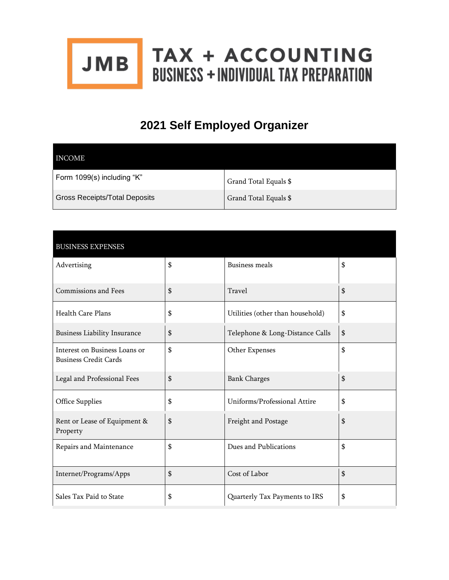

## **2021 Self Employed Organizer**

| INCOME                               |                       |
|--------------------------------------|-----------------------|
| Form 1099(s) including "K"           | Grand Total Equals \$ |
| <b>Gross Receipts/Total Deposits</b> | Grand Total Equals \$ |

| <b>BUSINESS EXPENSES</b>                                      |                                        |    |
|---------------------------------------------------------------|----------------------------------------|----|
| Advertising                                                   | \$<br><b>Business meals</b>            | \$ |
| Commissions and Fees                                          | \$<br>Travel                           | \$ |
| <b>Health Care Plans</b>                                      | \$<br>Utilities (other than household) | \$ |
| <b>Business Liability Insurance</b>                           | \$<br>Telephone & Long-Distance Calls  | \$ |
| Interest on Business Loans or<br><b>Business Credit Cards</b> | \$<br>Other Expenses                   | \$ |
| Legal and Professional Fees                                   | \$<br><b>Bank Charges</b>              | \$ |
| Office Supplies                                               | \$<br>Uniforms/Professional Attire     | \$ |
| Rent or Lease of Equipment &<br>Property                      | \$<br>Freight and Postage              | \$ |
| Repairs and Maintenance                                       | \$<br>Dues and Publications            | \$ |
| Internet/Programs/Apps                                        | \$<br>Cost of Labor                    | \$ |
| Sales Tax Paid to State                                       | \$<br>Quarterly Tax Payments to IRS    | \$ |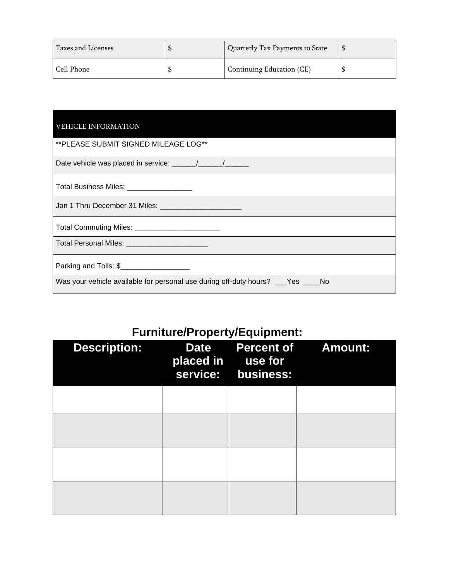| Taxes and Licenses | Quarterly Tax Payments to State |  |
|--------------------|---------------------------------|--|
| Cell Phone         | Continuing Education (CE)       |  |

| <b>VEHICLE INFORMATION</b>                                                       |
|----------------------------------------------------------------------------------|
| ** PLEASE SUBMIT SIGNED MILEAGE LOG**                                            |
|                                                                                  |
| Total Business Miles: __________________                                         |
| Jan 1 Thru December 31 Miles: ________________________                           |
|                                                                                  |
| Total Personal Miles: ________________________                                   |
| Parking and Tolls: \$                                                            |
| Was your vehicle available for personal use during off-duty hours? ___Yes ____No |

## **Furniture/Property/Equipment:**

| <b>Description:</b> | <b>Date</b><br>placed in<br>service: | use for<br>business: | <b>Percent of Amount:</b> |
|---------------------|--------------------------------------|----------------------|---------------------------|
|                     |                                      |                      |                           |
|                     |                                      |                      |                           |
|                     |                                      |                      |                           |
|                     |                                      |                      |                           |